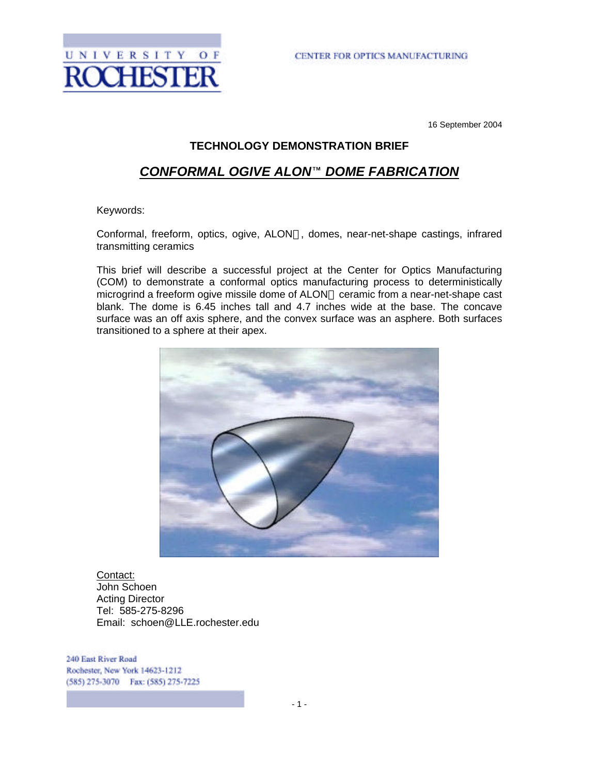

16 September 2004

#### **TECHNOLOGY DEMONSTRATION BRIEF**

### **CONFORMAL OGIVE ALON™ DOME FABRICATION**

Keywords:

Conformal, freeform, optics, ogive, ALON , domes, near-net-shape castings, infrared transmitting ceramics

This brief will describe a successful project at the Center for Optics Manufacturing (COM) to demonstrate a conformal optics manufacturing process to deterministically microgrind a freeform ogive missile dome of ALON ceramic from a near-net-shape cast blank. The dome is 6.45 inches tall and 4.7 inches wide at the base. The concave surface was an off axis sphere, and the convex surface was an asphere. Both surfaces transitioned to a sphere at their apex.



Contact: John Schoen Acting Director Tel: 585-275-8296 Email: schoen@LLE.rochester.edu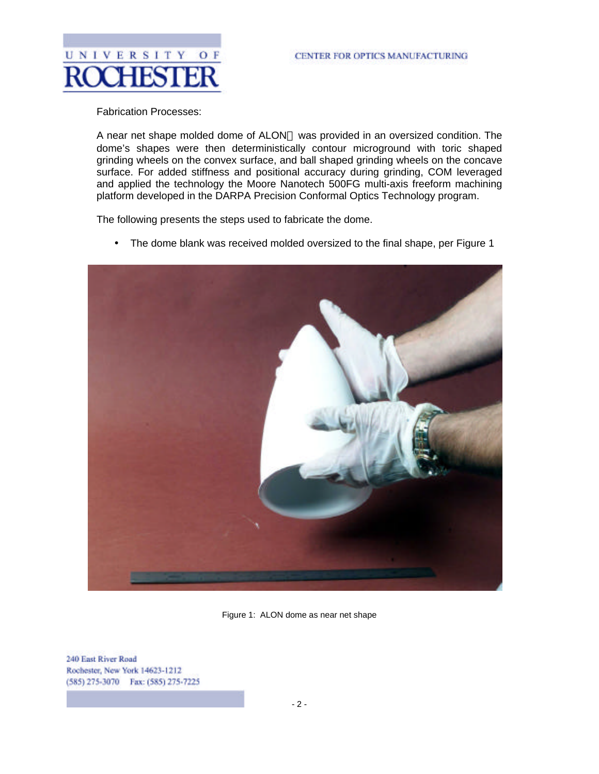

Fabrication Processes:

A near net shape molded dome of ALON was provided in an oversized condition. The dome's shapes were then deterministically contour microground with toric shaped grinding wheels on the convex surface, and ball shaped grinding wheels on the concave surface. For added stiffness and positional accuracy during grinding, COM leveraged and applied the technology the Moore Nanotech 500FG multi-axis freeform machining platform developed in the DARPA Precision Conformal Optics Technology program.

The following presents the steps used to fabricate the dome.

• The dome blank was received molded oversized to the final shape, per Figure 1



Figure 1: ALON dome as near net shape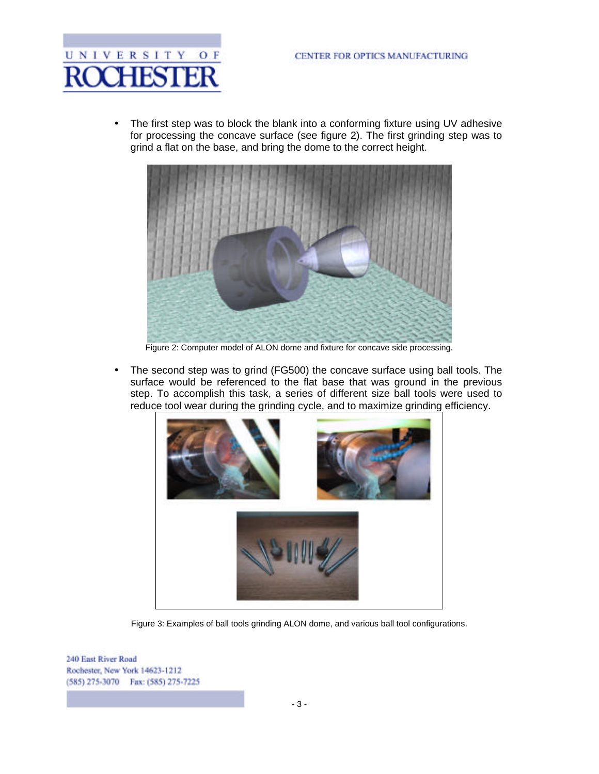

• The first step was to block the blank into a conforming fixture using UV adhesive for processing the concave surface (see figure 2). The first grinding step was to grind a flat on the base, and bring the dome to the correct height.



Figure 2: Computer model of ALON dome and fixture for concave side processing.

• The second step was to grind (FG500) the concave surface using ball tools. The surface would be referenced to the flat base that was ground in the previous step. To accomplish this task, a series of different size ball tools were used to reduce tool wear during the grinding cycle, and to maximize grinding efficiency.



Figure 3: Examples of ball tools grinding ALON dome, and various ball tool configurations.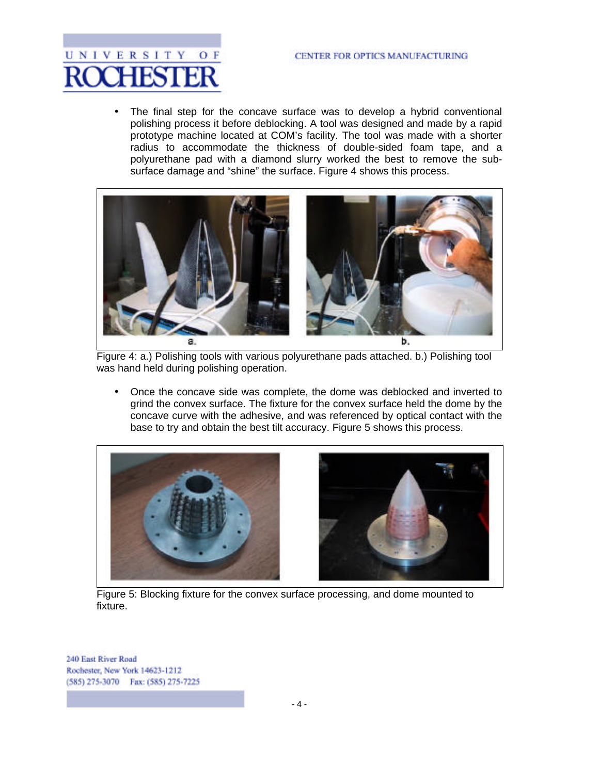

The final step for the concave surface was to develop a hybrid conventional polishing process it before deblocking. A tool was designed and made by a rapid prototype machine located at COM's facility. The tool was made with a shorter radius to accommodate the thickness of double-sided foam tape, and a polyurethane pad with a diamond slurry worked the best to remove the subsurface damage and "shine" the surface. Figure 4 shows this process.



Figure 4: a.) Polishing tools with various polyurethane pads attached. b.) Polishing tool was hand held during polishing operation.

• Once the concave side was complete, the dome was deblocked and inverted to grind the convex surface. The fixture for the convex surface held the dome by the concave curve with the adhesive, and was referenced by optical contact with the base to try and obtain the best tilt accuracy. Figure 5 shows this process.



Figure 5: Blocking fixture for the convex surface processing, and dome mounted to fixture.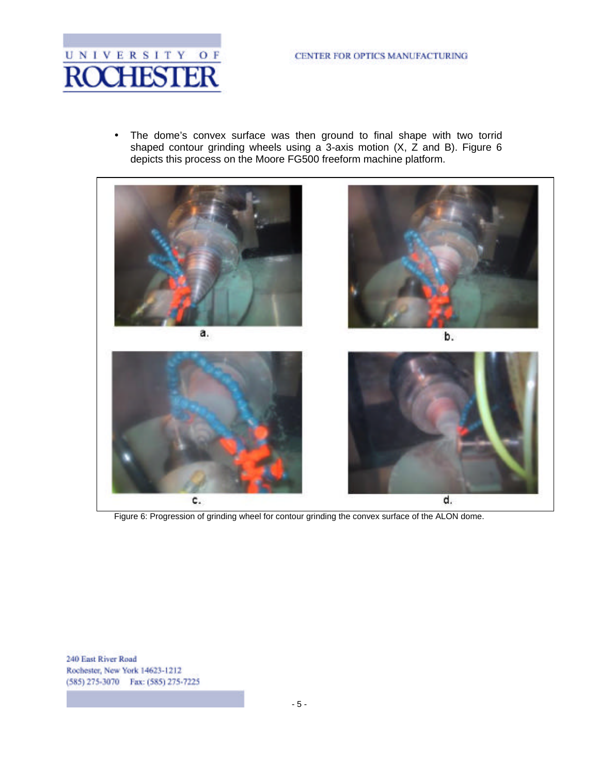

• The dome's convex surface was then ground to final shape with two torrid shaped contour grinding wheels using a 3-axis motion (X, Z and B). Figure 6 depicts this process on the Moore FG500 freeform machine platform.



Figure 6: Progression of grinding wheel for contour grinding the convex surface of the ALON dome.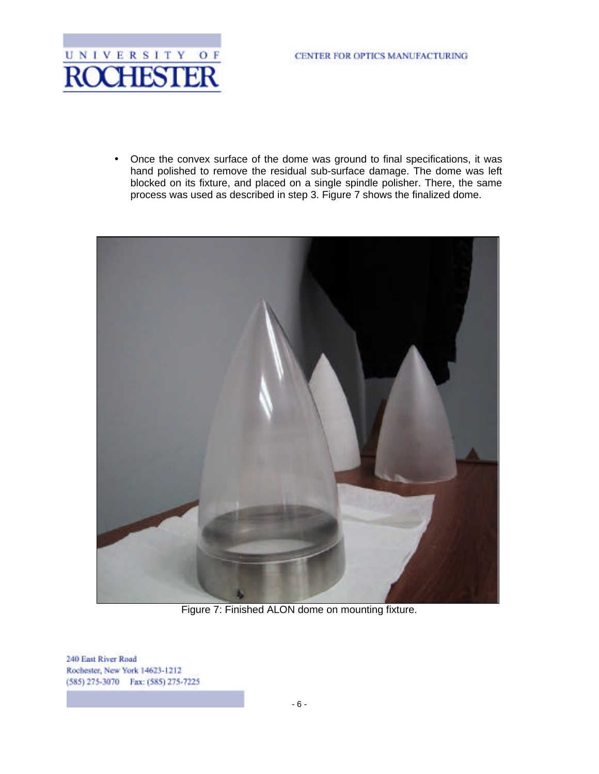

• Once the convex surface of the dome was ground to final specifications, it was hand polished to remove the residual sub-surface damage. The dome was left blocked on its fixture, and placed on a single spindle polisher. There, the same process was used as described in step 3. Figure 7 shows the finalized dome.



Figure 7: Finished ALON dome on mounting fixture.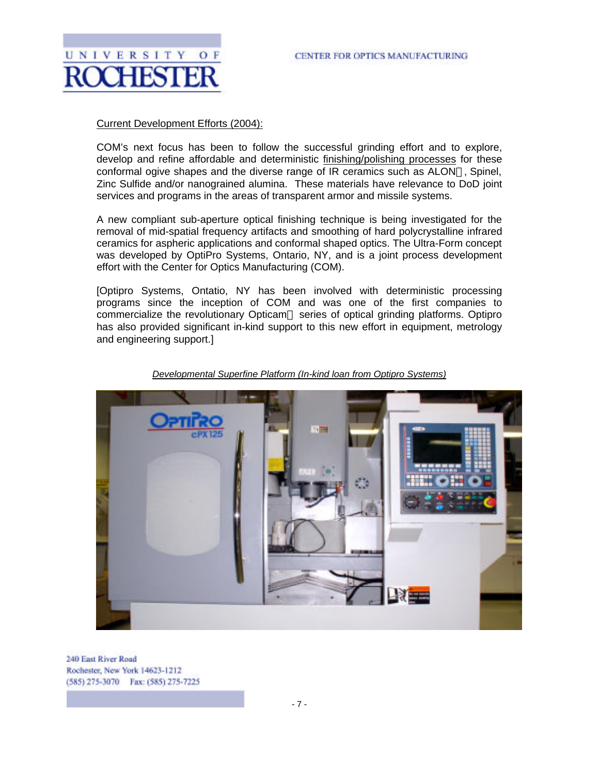

## Current Development Efforts (2004):

UNIVERSITY

COM's next focus has been to follow the successful grinding effort and to explore, develop and refine affordable and deterministic finishing/polishing processes for these conformal ogive shapes and the diverse range of IR ceramics such as ALON , Spinel, Zinc Sulfide and/or nanograined alumina. These materials have relevance to DoD joint services and programs in the areas of transparent armor and missile systems.

A new compliant sub-aperture optical finishing technique is being investigated for the removal of mid-spatial frequency artifacts and smoothing of hard polycrystalline infrared ceramics for aspheric applications and conformal shaped optics. The Ultra-Form concept was developed by OptiPro Systems, Ontario, NY, and is a joint process development effort with the Center for Optics Manufacturing (COM).

[Optipro Systems, Ontatio, NY has been involved with deterministic processing programs since the inception of COM and was one of the first companies to commercialize the revolutionary Opticam series of optical grinding platforms. Optipro has also provided significant in-kind support to this new effort in equipment, metrology and engineering support.]



*Developmental Superfine Platform (In-kind loan from Optipro Systems)*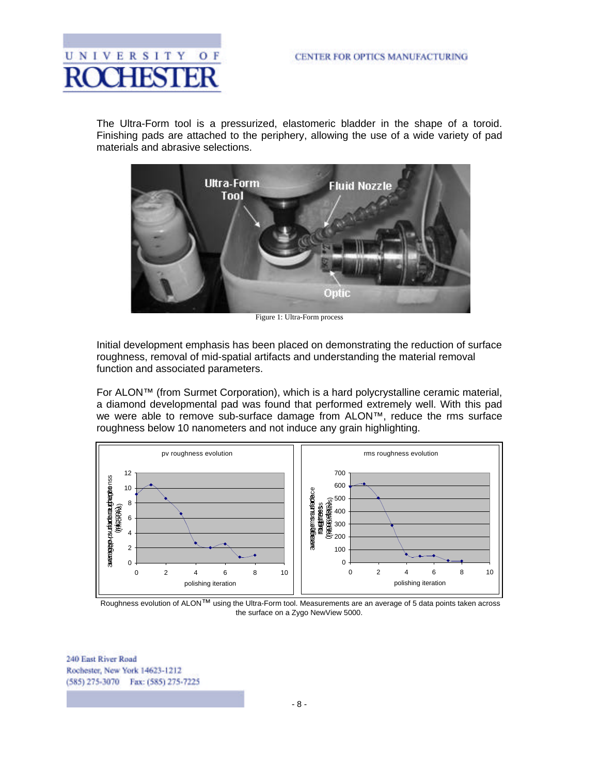

The Ultra-Form tool is a pressurized, elastomeric bladder in the shape of a toroid. Finishing pads are attached to the periphery, allowing the use of a wide variety of pad materials and abrasive selections.



Figure 1: Ultra-Form process

Initial development emphasis has been placed on demonstrating the reduction of surface roughness, removal of mid-spatial artifacts and understanding the material removal function and associated parameters.

For ALON™ (from Surmet Corporation), which is a hard polycrystalline ceramic material, a diamond developmental pad was found that performed extremely well. With this pad we were able to remove sub-surface damage from ALON™, reduce the rms surface roughness below 10 nanometers and not induce any grain highlighting.



Roughness evolution of ALON<sup>TM</sup> using the Ultra-Form tool. Measurements are an average of 5 data points taken across the surface on a Zygo NewView 5000.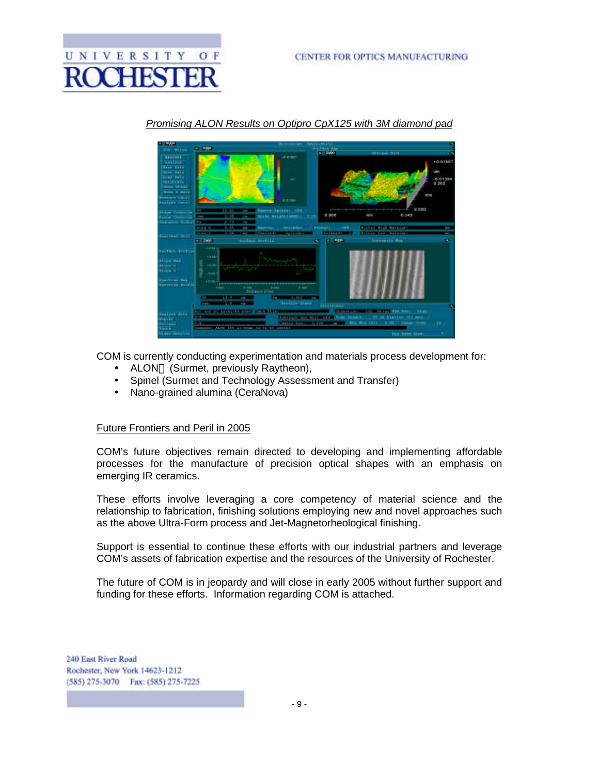



#### *Promising ALON Results on Optipro CpX125 with 3M diamond pad*

COM is currently conducting experimentation and materials process development for:

- ALON (Surmet, previously Raytheon),
- Spinel (Surmet and Technology Assessment and Transfer)
- Nano-grained alumina (CeraNova)

#### Future Frontiers and Peril in 2005

COM's future objectives remain directed to developing and implementing affordable processes for the manufacture of precision optical shapes with an emphasis on emerging IR ceramics.

These efforts involve leveraging a core competency of material science and the relationship to fabrication, finishing solutions employing new and novel approaches such as the above Ultra-Form process and Jet-Magnetorheological finishing.

Support is essential to continue these efforts with our industrial partners and leverage COM's assets of fabrication expertise and the resources of the University of Rochester.

The future of COM is in jeopardy and will close in early 2005 without further support and funding for these efforts. Information regarding COM is attached.